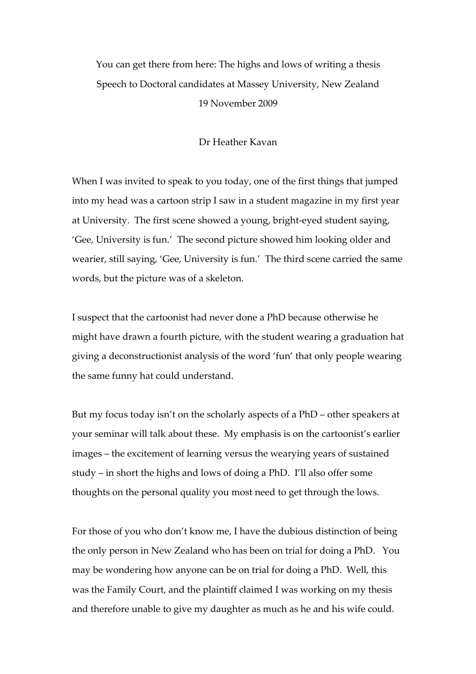You can get there from here: The highs and lows of writing a thesis Speech to Doctoral candidates at Massey University, New Zealand 19 November 2009

## Dr Heather Kavan

When I was invited to speak to you today, one of the first things that jumped into my head was a cartoon strip I saw in a student magazine in my first year at University. The first scene showed a young, bright-eyed student saying, 'Gee, University is fun.' The second picture showed him looking older and wearier, still saying, 'Gee, University is fun.' The third scene carried the same words, but the picture was of a skeleton.

I suspect that the cartoonist had never done a PhD because otherwise he might have drawn a fourth picture, with the student wearing a graduation hat giving a deconstructionist analysis of the word 'fun' that only people wearing the same funny hat could understand.

But my focus today isn't on the scholarly aspects of a PhD – other speakers at your seminar will talk about these. My emphasis is on the cartoonist's earlier images – the excitement of learning versus the wearying years of sustained study – in short the highs and lows of doing a PhD. I'll also offer some thoughts on the personal quality you most need to get through the lows.

For those of you who don't know me, I have the dubious distinction of being the only person in New Zealand who has been on trial for doing a PhD. You may be wondering how anyone can be on trial for doing a PhD. Well, this was the Family Court, and the plaintiff claimed I was working on my thesis and therefore unable to give my daughter as much as he and his wife could.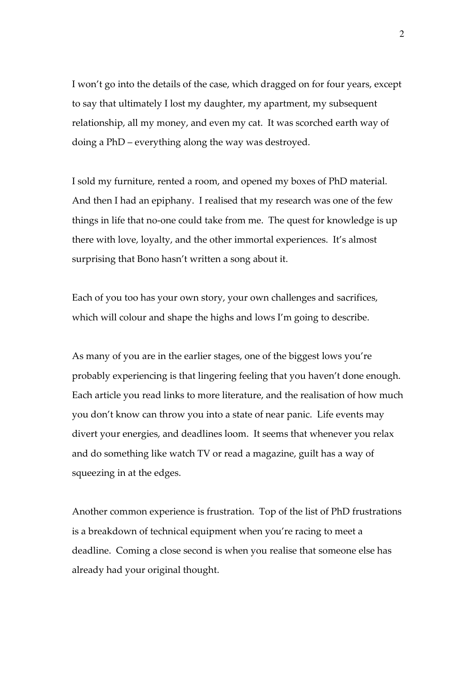I won't go into the details of the case, which dragged on for four years, except to say that ultimately I lost my daughter, my apartment, my subsequent relationship, all my money, and even my cat. It was scorched earth way of doing a PhD – everything along the way was destroyed.

I sold my furniture, rented a room, and opened my boxes of PhD material. And then I had an epiphany. I realised that my research was one of the few things in life that no-one could take from me. The quest for knowledge is up there with love, loyalty, and the other immortal experiences. It's almost surprising that Bono hasn't written a song about it.

Each of you too has your own story, your own challenges and sacrifices, which will colour and shape the highs and lows I'm going to describe.

As many of you are in the earlier stages, one of the biggest lows you're probably experiencing is that lingering feeling that you haven't done enough. Each article you read links to more literature, and the realisation of how much you don't know can throw you into a state of near panic. Life events may divert your energies, and deadlines loom. It seems that whenever you relax and do something like watch TV or read a magazine, guilt has a way of squeezing in at the edges.

Another common experience is frustration. Top of the list of PhD frustrations is a breakdown of technical equipment when you're racing to meet a deadline. Coming a close second is when you realise that someone else has already had your original thought.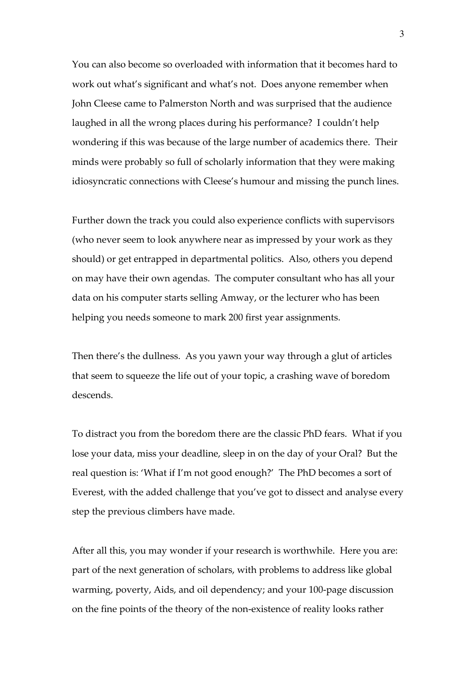You can also become so overloaded with information that it becomes hard to work out what's significant and what's not. Does anyone remember when John Cleese came to Palmerston North and was surprised that the audience laughed in all the wrong places during his performance? I couldn't help wondering if this was because of the large number of academics there. Their minds were probably so full of scholarly information that they were making idiosyncratic connections with Cleese's humour and missing the punch lines.

Further down the track you could also experience conflicts with supervisors (who never seem to look anywhere near as impressed by your work as they should) or get entrapped in departmental politics. Also, others you depend on may have their own agendas. The computer consultant who has all your data on his computer starts selling Amway, or the lecturer who has been helping you needs someone to mark 200 first year assignments.

Then there's the dullness. As you yawn your way through a glut of articles that seem to squeeze the life out of your topic, a crashing wave of boredom descends.

To distract you from the boredom there are the classic PhD fears. What if you lose your data, miss your deadline, sleep in on the day of your Oral? But the real question is: 'What if I'm not good enough?' The PhD becomes a sort of Everest, with the added challenge that you've got to dissect and analyse every step the previous climbers have made.

After all this, you may wonder if your research is worthwhile. Here you are: part of the next generation of scholars, with problems to address like global warming, poverty, Aids, and oil dependency; and your 100-page discussion on the fine points of the theory of the non-existence of reality looks rather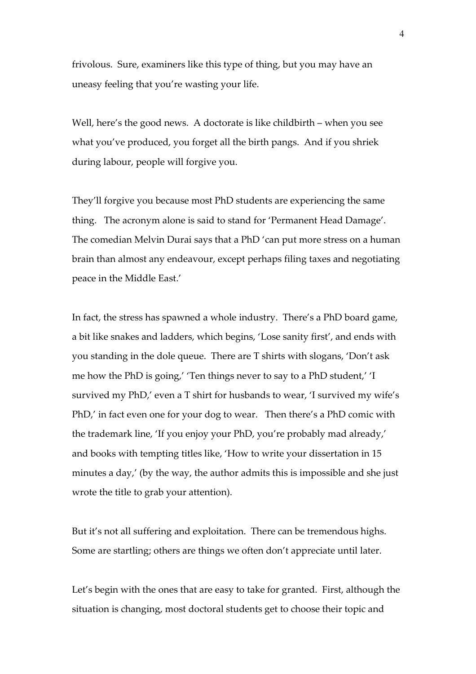frivolous. Sure, examiners like this type of thing, but you may have an uneasy feeling that you're wasting your life.

Well, here's the good news. A doctorate is like childbirth – when you see what you've produced, you forget all the birth pangs. And if you shriek during labour, people will forgive you.

They'll forgive you because most PhD students are experiencing the same thing. The acronym alone is said to stand for 'Permanent Head Damage'. The comedian Melvin Durai says that a PhD 'can put more stress on a human brain than almost any endeavour, except perhaps filing taxes and negotiating peace in the Middle East.'

In fact, the stress has spawned a whole industry. There's a PhD board game, a bit like snakes and ladders, which begins, 'Lose sanity first', and ends with you standing in the dole queue. There are T shirts with slogans, 'Don't ask me how the PhD is going,' 'Ten things never to say to a PhD student,' 'I survived my PhD,' even a T shirt for husbands to wear, 'I survived my wife's PhD,' in fact even one for your dog to wear. Then there's a PhD comic with the trademark line, 'If you enjoy your PhD, you're probably mad already,' and books with tempting titles like, 'How to write your dissertation in 15 minutes a day,' (by the way, the author admits this is impossible and she just wrote the title to grab your attention).

But it's not all suffering and exploitation. There can be tremendous highs. Some are startling; others are things we often don't appreciate until later.

Let's begin with the ones that are easy to take for granted. First, although the situation is changing, most doctoral students get to choose their topic and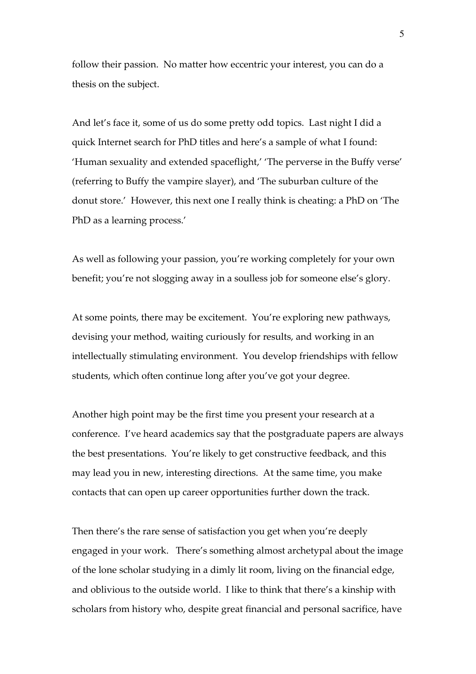follow their passion. No matter how eccentric your interest, you can do a thesis on the subject.

And let's face it, some of us do some pretty odd topics. Last night I did a quick Internet search for PhD titles and here's a sample of what I found: 'Human sexuality and extended spaceflight,' 'The perverse in the Buffy verse' (referring to Buffy the vampire slayer), and 'The suburban culture of the donut store.' However, this next one I really think is cheating: a PhD on 'The PhD as a learning process.'

As well as following your passion, you're working completely for your own benefit; you're not slogging away in a soulless job for someone else's glory.

At some points, there may be excitement. You're exploring new pathways, devising your method, waiting curiously for results, and working in an intellectually stimulating environment. You develop friendships with fellow students, which often continue long after you've got your degree.

Another high point may be the first time you present your research at a conference. I've heard academics say that the postgraduate papers are always the best presentations. You're likely to get constructive feedback, and this may lead you in new, interesting directions. At the same time, you make contacts that can open up career opportunities further down the track.

Then there's the rare sense of satisfaction you get when you're deeply engaged in your work. There's something almost archetypal about the image of the lone scholar studying in a dimly lit room, living on the financial edge, and oblivious to the outside world. I like to think that there's a kinship with scholars from history who, despite great financial and personal sacrifice, have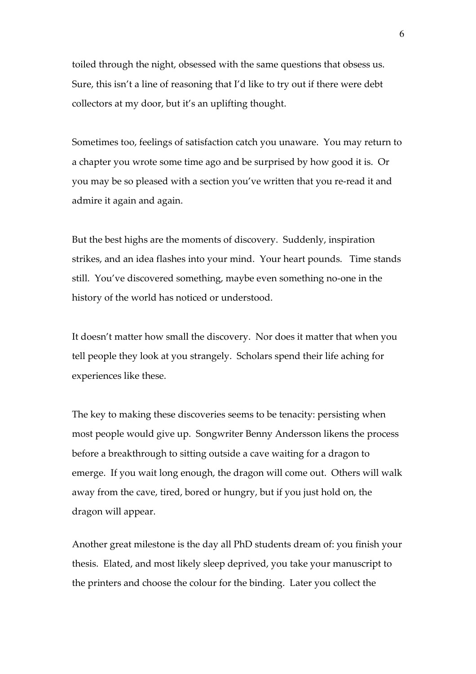toiled through the night, obsessed with the same questions that obsess us. Sure, this isn't a line of reasoning that I'd like to try out if there were debt collectors at my door, but it's an uplifting thought.

Sometimes too, feelings of satisfaction catch you unaware. You may return to a chapter you wrote some time ago and be surprised by how good it is. Or you may be so pleased with a section you've written that you re-read it and admire it again and again.

But the best highs are the moments of discovery. Suddenly, inspiration strikes, and an idea flashes into your mind. Your heart pounds. Time stands still. You've discovered something, maybe even something no-one in the history of the world has noticed or understood.

It doesn't matter how small the discovery. Nor does it matter that when you tell people they look at you strangely. Scholars spend their life aching for experiences like these.

The key to making these discoveries seems to be tenacity: persisting when most people would give up. Songwriter Benny Andersson likens the process before a breakthrough to sitting outside a cave waiting for a dragon to emerge. If you wait long enough, the dragon will come out. Others will walk away from the cave, tired, bored or hungry, but if you just hold on, the dragon will appear.

Another great milestone is the day all PhD students dream of: you finish your thesis. Elated, and most likely sleep deprived, you take your manuscript to the printers and choose the colour for the binding. Later you collect the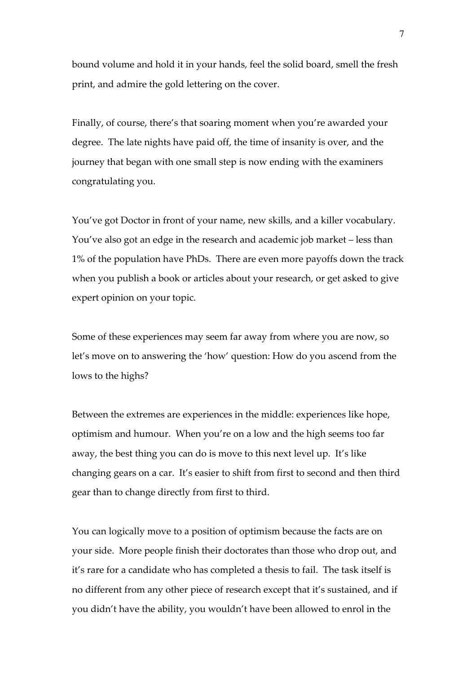bound volume and hold it in your hands, feel the solid board, smell the fresh print, and admire the gold lettering on the cover.

Finally, of course, there's that soaring moment when you're awarded your degree. The late nights have paid off, the time of insanity is over, and the journey that began with one small step is now ending with the examiners congratulating you.

You've got Doctor in front of your name, new skills, and a killer vocabulary. You've also got an edge in the research and academic job market – less than 1% of the population have PhDs. There are even more payoffs down the track when you publish a book or articles about your research, or get asked to give expert opinion on your topic.

Some of these experiences may seem far away from where you are now, so let's move on to answering the 'how' question: How do you ascend from the lows to the highs?

Between the extremes are experiences in the middle: experiences like hope, optimism and humour. When you're on a low and the high seems too far away, the best thing you can do is move to this next level up. It's like changing gears on a car. It's easier to shift from first to second and then third gear than to change directly from first to third.

You can logically move to a position of optimism because the facts are on your side. More people finish their doctorates than those who drop out, and it's rare for a candidate who has completed a thesis to fail. The task itself is no different from any other piece of research except that it's sustained, and if you didn't have the ability, you wouldn't have been allowed to enrol in the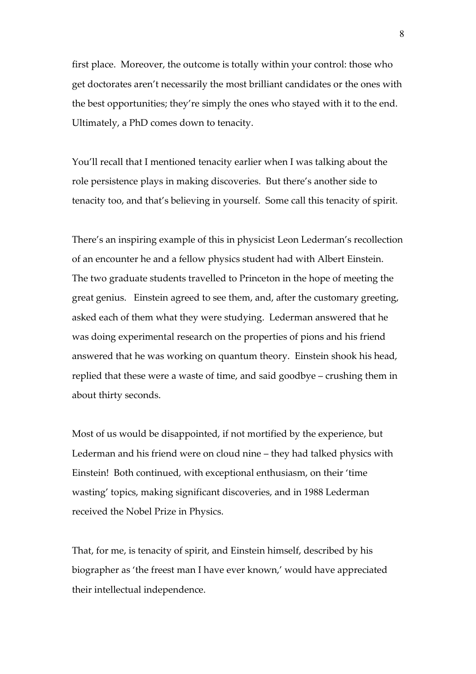first place. Moreover, the outcome is totally within your control: those who get doctorates aren't necessarily the most brilliant candidates or the ones with the best opportunities; they're simply the ones who stayed with it to the end. Ultimately, a PhD comes down to tenacity.

You'll recall that I mentioned tenacity earlier when I was talking about the role persistence plays in making discoveries. But there's another side to tenacity too, and that's believing in yourself. Some call this tenacity of spirit.

There's an inspiring example of this in physicist Leon Lederman's recollection of an encounter he and a fellow physics student had with Albert Einstein. The two graduate students travelled to Princeton in the hope of meeting the great genius. Einstein agreed to see them, and, after the customary greeting, asked each of them what they were studying. Lederman answered that he was doing experimental research on the properties of pions and his friend answered that he was working on quantum theory. Einstein shook his head, replied that these were a waste of time, and said goodbye – crushing them in about thirty seconds.

Most of us would be disappointed, if not mortified by the experience, but Lederman and his friend were on cloud nine – they had talked physics with Einstein! Both continued, with exceptional enthusiasm, on their 'time wasting' topics, making significant discoveries, and in 1988 Lederman received the Nobel Prize in Physics.

That, for me, is tenacity of spirit, and Einstein himself, described by his biographer as 'the freest man I have ever known,' would have appreciated their intellectual independence.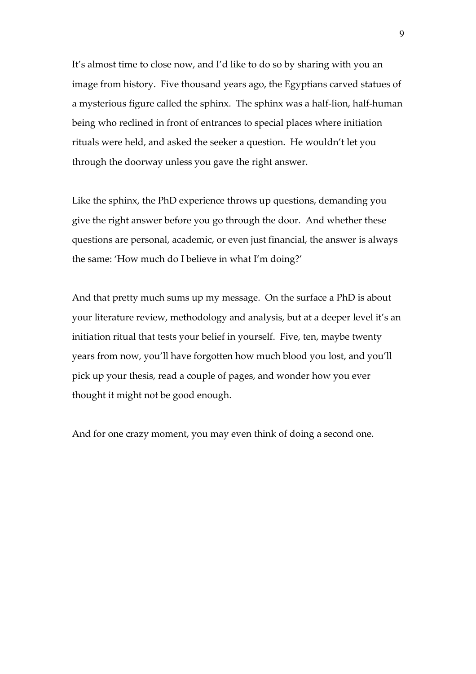It's almost time to close now, and I'd like to do so by sharing with you an image from history. Five thousand years ago, the Egyptians carved statues of a mysterious figure called the sphinx. The sphinx was a half-lion, half-human being who reclined in front of entrances to special places where initiation rituals were held, and asked the seeker a question. He wouldn't let you through the doorway unless you gave the right answer.

Like the sphinx, the PhD experience throws up questions, demanding you give the right answer before you go through the door. And whether these questions are personal, academic, or even just financial, the answer is always the same: 'How much do I believe in what I'm doing?'

And that pretty much sums up my message. On the surface a PhD is about your literature review, methodology and analysis, but at a deeper level it's an initiation ritual that tests your belief in yourself. Five, ten, maybe twenty years from now, you'll have forgotten how much blood you lost, and you'll pick up your thesis, read a couple of pages, and wonder how you ever thought it might not be good enough.

And for one crazy moment, you may even think of doing a second one.